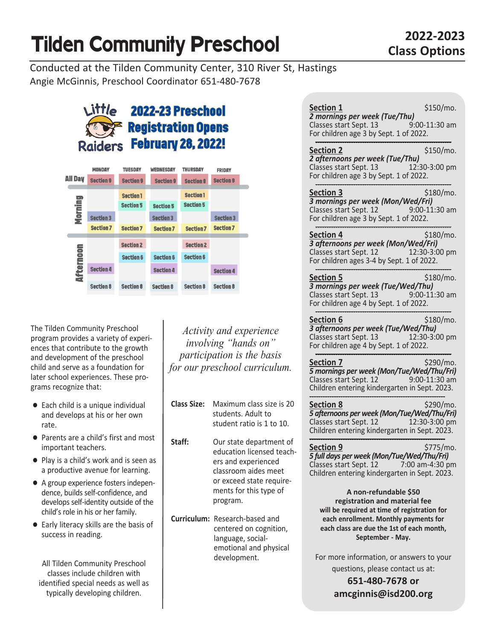# **Tilden Community Preschool Class Options**

## Angie McGinnis, Preschool Coordinator 651-480-7678 Conducted at the Tilden Community Center, 310 River St, Hastings

### Little 2022-23 Preschool **Registration Opens** ders February 28, 2022!

|                  | <b>MONDAY</b>    | <b>TUESDAY</b>   | <b>WEDNESDAY</b> | <b>THURSDAY</b>  | <b>FRIDAY</b>    |
|------------------|------------------|------------------|------------------|------------------|------------------|
| All Day          | <b>Section 9</b> | <b>Section 9</b> | <b>Section 9</b> | <b>Section 9</b> | <b>Section 9</b> |
|                  |                  | <b>Section 1</b> |                  | <b>Section 1</b> |                  |
|                  |                  | <b>Section 5</b> | <b>Section 5</b> | <b>Section 5</b> |                  |
| Morning          | <b>Section 3</b> |                  | <b>Section 3</b> |                  | <b>Section 3</b> |
|                  | <b>Section 7</b> | <b>Section 7</b> | <b>Section 7</b> | <b>Section 7</b> | <b>Section 7</b> |
|                  |                  |                  |                  |                  |                  |
| <b>Afternoon</b> |                  | <b>Section 2</b> |                  | <b>Section 2</b> |                  |
|                  |                  | <b>Section 6</b> | <b>Section 6</b> | <b>Section 6</b> |                  |
|                  | <b>Section 4</b> |                  | <b>Section 4</b> |                  | <b>Section 4</b> |
|                  |                  |                  |                  |                  |                  |
|                  | <b>Section 8</b> | <b>Section 8</b> | <b>Section 8</b> | <b>Section 8</b> | <b>Section 8</b> |

The Tilden Community Preschool program provides a variety of experiences that contribute to the growth and development of the preschool child and serve as a foundation for later school experiences. These programs recognize that:

- $\bullet$  Each child is a unique individual and develops at his or her own rate.
- Parents are a child's first and most important teachers.
- Play is a child's work and is seen as a productive avenue for learning.
- A group experience fosters independence, builds self-confidence, and develops self-identity outside of the child's role in his or her family.
- Early literacy skills are the basis of success in reading.

development. All Tilden Community Preschool classes include children with identified special needs as well as typically developing children.

*Activity and experience involving "hands on" participation is the basis for our preschool curriculum.*

- **Class Size:** Maximum class size is 20 students. Adult to student ratio is 1 to 10.
- **Staff:** Our state department of education licensed teachers and experienced classroom aides meet or exceed state requirements for this type of program.
- **Curriculum:** Research-based and centered on cognition, language, socialemotional and physical

| <u>Section 1</u>                                                                                  | \$150/mo.       |  |  |  |  |  |
|---------------------------------------------------------------------------------------------------|-----------------|--|--|--|--|--|
| 2 mornings per week (Tue/Thu)                                                                     |                 |  |  |  |  |  |
| Classes start Sept. 13<br>For children age 3 by Sept. 1 of 2022.                                  |                 |  |  |  |  |  |
|                                                                                                   |                 |  |  |  |  |  |
| <u>Section 2</u>                                                                                  | \$150/mo.       |  |  |  |  |  |
| 2 afternoons per week (Tue/Thu)                                                                   |                 |  |  |  |  |  |
| Classes start Sept. 13<br>For children age 3 by Sept. 1 of 2022.                                  | 12:30-3:00 pm   |  |  |  |  |  |
| <b>Section 3</b>                                                                                  | \$180/mo.       |  |  |  |  |  |
| 3 mornings per week (Mon/Wed/Fri)                                                                 |                 |  |  |  |  |  |
| Classes start Sept. 12<br>9:00-1 Classes start Sept. 12<br>For children age 3 by Sept. 1 of 2022. | 9:00-11:30 am   |  |  |  |  |  |
|                                                                                                   |                 |  |  |  |  |  |
| <u>Section 4</u>                                                                                  | \$180/mo.       |  |  |  |  |  |
| 3 afternoons per week (Mon/Wed/Fri)                                                               |                 |  |  |  |  |  |
|                                                                                                   |                 |  |  |  |  |  |
| Classes start Sept. 12 12:30-3:00 pm<br>For children ages 3-4 by Sept. 1 of 2022.                 |                 |  |  |  |  |  |
| <b>Section 5</b>                                                                                  | \$180/mo.       |  |  |  |  |  |
| 3 mornings per week (Tue/Wed/Thu)                                                                 |                 |  |  |  |  |  |
| Classes start Sept. 13                                                                            | $9:00-11:30$ am |  |  |  |  |  |
| For children age 4 by Sept. 1 of 2022.                                                            |                 |  |  |  |  |  |
| <u>Section 6</u>                                                                                  | \$180/mo.       |  |  |  |  |  |
| 3 afternoons per week (Tue/Wed/Thu)                                                               |                 |  |  |  |  |  |
| Classes start Sept. 13                                                                            | 12:30-3:00 pm   |  |  |  |  |  |
| For children age 4 by Sept. 1 of 2022.                                                            |                 |  |  |  |  |  |
| <b>Section 7</b>                                                                                  | \$290/mo.       |  |  |  |  |  |
| 5 mornings per week (Mon/Tue/Wed/Thu/Fri)                                                         |                 |  |  |  |  |  |
| Classes start Sept. 12 9:00-11:30 am<br>Children entering kindergarten in Sept. 2023.             |                 |  |  |  |  |  |
|                                                                                                   |                 |  |  |  |  |  |
| <b>Section 8</b>                                                                                  | \$290/mo.       |  |  |  |  |  |
| 5 afternoons per week (Mon/Tue/Wed/Thu/Fri)                                                       |                 |  |  |  |  |  |
| Classes start Sept. 12                                                                            | 12:30-3:00 pm   |  |  |  |  |  |
| Children entering kindergarten in Sept. 2023.                                                     |                 |  |  |  |  |  |
| <b>Section 9</b>                                                                                  |                 |  |  |  |  |  |
| 5 full days per week (Mon/Tue/Wed/Thu/Fri)                                                        | \$775/mo.       |  |  |  |  |  |
| Classes start Sept. 12                                                                            | 7:00 am-4:30 pm |  |  |  |  |  |
| Children entering kindergarten in Sept. 2023.                                                     |                 |  |  |  |  |  |
|                                                                                                   |                 |  |  |  |  |  |
| A non-refundable \$50                                                                             |                 |  |  |  |  |  |
| registration and material fee                                                                     |                 |  |  |  |  |  |
| will be required at time of registration for                                                      |                 |  |  |  |  |  |
| each enrollment. Monthly payments for                                                             |                 |  |  |  |  |  |
| each class are due the 1st of each month,                                                         |                 |  |  |  |  |  |
| September - May.                                                                                  |                 |  |  |  |  |  |
| For more information, or answers to your                                                          |                 |  |  |  |  |  |
| questions, please contact us at:                                                                  |                 |  |  |  |  |  |
| 651-480-7678 or                                                                                   |                 |  |  |  |  |  |
|                                                                                                   |                 |  |  |  |  |  |
| amcginnis@isd200.org                                                                              |                 |  |  |  |  |  |